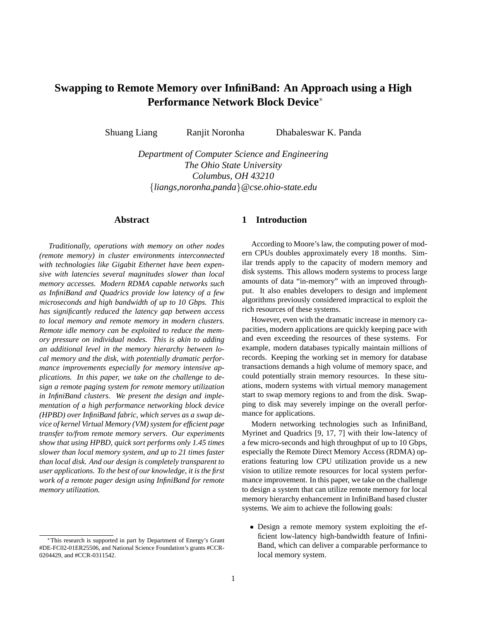# **Swapping to Remote Memory over InfiniBand: An Approach using a High Performance Network Block Device**<sup>∗</sup>

Shuang Liang Ranjit Noronha Dhabaleswar K. Panda

*Department of Computer Science and Engineering The Ohio State University Columbus, OH 43210* {*liangs,noronha,panda*}*@cse.ohio-state.edu*

# **Abstract**

*Traditionally, operations with memory on other nodes (remote memory) in cluster environments interconnected with technologies like Gigabit Ethernet have been expensive with latencies several magnitudes slower than local memory accesses. Modern RDMA capable networks such as InfiniBand and Quadrics provide low latency of a few microseconds and high bandwidth of up to 10 Gbps. This has significantly reduced the latency gap between access to local memory and remote memory in modern clusters. Remote idle memory can be exploited to reduce the memory pressure on individual nodes. This is akin to adding an additional level in the memory hierarchy between local memory and the disk, with potentially dramatic performance improvements especially for memory intensive applications. In this paper, we take on the challenge to design a remote paging system for remote memory utilization in InfiniBand clusters. We present the design and implementation of a high performance networking block device (HPBD) over InfiniBand fabric, which serves as a swap device of kernel Virtual Memory (VM) system for efficient page transfer to/from remote memory servers. Our experiments show that using HPBD, quick sort performs only 1.45 times slower than local memory system, and up to 21 times faster than local disk. And our design is completely transparent to user applications. To the best of our knowledge, it is the first work of a remote pager design using InfiniBand for remote memory utilization.*

# **1 Introduction**

According to Moore's law, the computing power of modern CPUs doubles approximately every 18 months. Similar trends apply to the capacity of modern memory and disk systems. This allows modern systems to process large amounts of data "in-memory" with an improved throughput. It also enables developers to design and implement algorithms previously considered impractical to exploit the rich resources of these systems.

However, even with the dramatic increase in memory capacities, modern applications are quickly keeping pace with and even exceeding the resources of these systems. For example, modern databases typically maintain millions of records. Keeping the working set in memory for database transactions demands a high volume of memory space, and could potentially strain memory resources. In these situations, modern systems with virtual memory management start to swap memory regions to and from the disk. Swapping to disk may severely impinge on the overall performance for applications.

Modern networking technologies such as InfiniBand, Myrinet and Quadrics [9, 17, 7] with their low-latency of a few micro-seconds and high throughput of up to 10 Gbps, especially the Remote Direct Memory Access (RDMA) operations featuring low CPU utilization provide us a new vision to utilize remote resources for local system performance improvement. In this paper, we take on the challenge to design a system that can utilize remote memory for local memory hierarchy enhancement in InfiniBand based cluster systems. We aim to achieve the following goals:

• Design a remote memory system exploiting the efficient low-latency high-bandwidth feature of Infini-Band, which can deliver a comparable performance to local memory system.

<sup>∗</sup>This research is supported in part by Department of Energy's Grant #DE-FC02-01ER25506, and National Science Foundation's grants #CCR-0204429, and #CCR-0311542.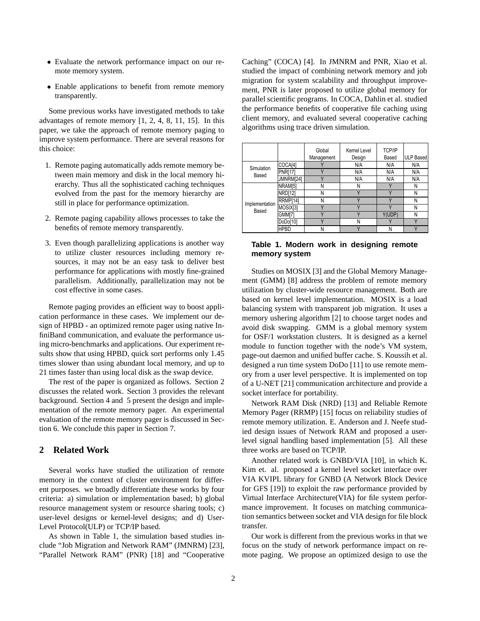- Evaluate the network performance impact on our remote memory system.
- Enable applications to benefit from remote memory transparently.

Some previous works have investigated methods to take advantages of remote memory [1, 2, 4, 8, 11, 15]. In this paper, we take the approach of remote memory paging to improve system performance. There are several reasons for this choice:

- 1. Remote paging automatically adds remote memory between main memory and disk in the local memory hierarchy. Thus all the sophisticated caching techniques evolved from the past for the memory hierarchy are still in place for performance optimization.
- 2. Remote paging capability allows processes to take the benefits of remote memory transparently.
- 3. Even though parallelizing applications is another way to utilize cluster resources including memory resources, it may not be an easy task to deliver best performance for applications with mostly fine-grained parallelism. Additionally, parallelization may not be cost effective in some cases.

Remote paging provides an efficient way to boost application performance in these cases. We implement our design of HPBD - an optimized remote pager using native InfiniBand communication, and evaluate the performance using micro-benchmarks and applications. Our experiment results show that using HPBD, quick sort performs only 1.45 times slower than using abundant local memory, and up to 21 times faster than using local disk as the swap device.

The rest of the paper is organized as follows. Section 2 discusses the related work. Section 3 provides the relevant background. Section 4 and 5 present the design and implementation of the remote memory pager. An experimental evaluation of the remote memory pager is discussed in Section 6. We conclude this paper in Section 7.

# **2 Related Work**

Several works have studied the utilization of remote memory in the context of cluster environment for different purposes. we broadly differentiate these works by four criteria: a) simulation or implementation based; b) global resource management system or resource sharing tools; c) user-level designs or kernel-level designs; and d) User-Level Protocol(ULP) or TCP/IP based.

As shown in Table 1, the simulation based studies include "Job Migration and Network RAM" (JMNRM) [23], "Parallel Network RAM" (PNR) [18] and "Cooperative Caching" (COCA) [4]. In JMNRM and PNR, Xiao et al. studied the impact of combining network memory and job migration for system scalability and throughput improvement, PNR is later proposed to utilize global memory for parallel scientific programs. In COCA, Dahlin et al. studied the performance benefits of cooperative file caching using client memory, and evaluated several cooperative caching algorithms using trace driven simulation.

|                         |                | Global<br>Management | Kernel Level<br>Design | <b>TCP/IP</b><br>Based | <b>ULP Based</b> |
|-------------------------|----------------|----------------------|------------------------|------------------------|------------------|
| Simulation<br>Based     | COCA[4]        |                      | N/A                    | N/A                    | N/A              |
|                         | <b>PNRI171</b> | v                    | N/A                    | N/A                    | N/A              |
|                         | JMNRM[24]      | $\vee$               | N/A                    | N/A                    | N/A              |
| Implementation<br>Based | NRAM[5]        | N                    | Ν                      |                        | N                |
|                         | NRD[12]        | Ν                    | V                      |                        | N                |
|                         | RRMP[14]       | N                    | V                      |                        | Ν                |
|                         | MOSIX[3]       | $\vee$               | $\mathbf v$            | $\overline{V}$         | Ν                |
|                         | GMMI71         | v                    | ν                      | Y(UDP)                 | Ν                |
|                         | DoDo[10]       | $\vee$               | N                      |                        | $\vee$           |
|                         | <b>HPBD</b>    | Ν                    |                        | Ν                      | $\overline{V}$   |

## **Table 1. Modern work in designing remote memory system**

Studies on MOSIX [3] and the Global Memory Management (GMM) [8] address the problem of remote memory utilization by cluster-wide resource management. Both are based on kernel level implementation. MOSIX is a load balancing system with transparent job migration. It uses a memory ushering algorithm [2] to choose target nodes and avoid disk swapping. GMM is a global memory system for OSF/1 workstation clusters. It is designed as a kernel module to function together with the node's VM system, page-out daemon and unified buffer cache. S. Koussih et al. designed a run time system DoDo [11] to use remote memory from a user level perspective. It is implemented on top of a U-NET [21] communication architecture and provide a socket interface for portability.

Network RAM Disk (NRD) [13] and Reliable Remote Memory Pager (RRMP) [15] focus on reliability studies of remote memory utilization. E. Anderson and J. Neefe studied design issues of Network RAM and proposed a userlevel signal handling based implementation [5]. All these three works are based on TCP/IP.

Another related work is GNBD/VIA [10], in which K. Kim et. al. proposed a kernel level socket interface over VIA KVIPL library for GNBD (A Network Block Device for GFS [19]) to exploit the raw performance provided by Virtual Interface Architecture(VIA) for file system performance improvement. It focuses on matching communication semantics between socket and VIA design for file block transfer.

Our work is different from the previous works in that we focus on the study of network performance impact on remote paging. We propose an optimized design to use the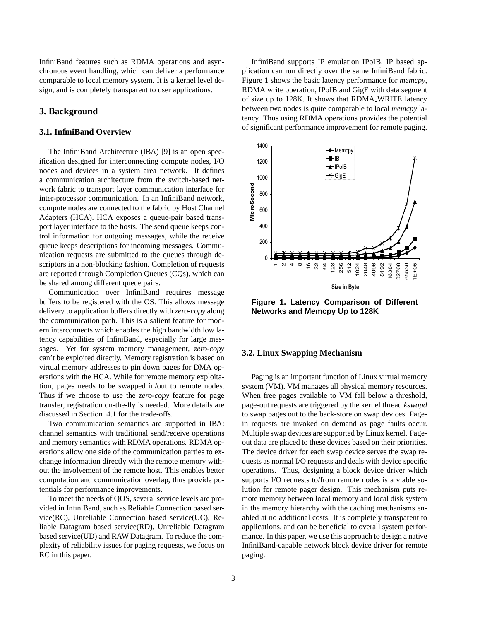InfiniBand features such as RDMA operations and asynchronous event handling, which can deliver a performance comparable to local memory system. It is a kernel level design, and is completely transparent to user applications.

# **3. Background**

### **3.1. InfiniBand Overview**

The InfiniBand Architecture (IBA) [9] is an open specification designed for interconnecting compute nodes, I/O nodes and devices in a system area network. It defines a communication architecture from the switch-based network fabric to transport layer communication interface for inter-processor communication. In an InfiniBand network, compute nodes are connected to the fabric by Host Channel Adapters (HCA). HCA exposes a queue-pair based transport layer interface to the hosts. The send queue keeps control information for outgoing messages, while the receive queue keeps descriptions for incoming messages. Communication requests are submitted to the queues through descriptors in a non-blocking fashion. Completion of requests are reported through Completion Queues (CQs), which can be shared among different queue pairs.

Communication over InfiniBand requires message buffers to be registered with the OS. This allows message delivery to application buffers directly with *zero-copy* along the communication path. This is a salient feature for modern interconnects which enables the high bandwidth low latency capabilities of InfiniBand, especially for large messages. Yet for system memory management, *zero-copy* can't be exploited directly. Memory registration is based on virtual memory addresses to pin down pages for DMA operations with the HCA. While for remote memory exploitation, pages needs to be swapped in/out to remote nodes. Thus if we choose to use the *zero-copy* feature for page transfer, registration on-the-fly is needed. More details are discussed in Section 4.1 for the trade-offs.

Two communication semantics are supported in IBA: channel semantics with traditional send/receive operations and memory semantics with RDMA operations. RDMA operations allow one side of the communication parties to exchange information directly with the remote memory without the involvement of the remote host. This enables better computation and communication overlap, thus provide potentials for performance improvements.

To meet the needs of QOS, several service levels are provided in InfiniBand, such as Reliable Connection based service(RC), Unreliable Connection based service(UC), Reliable Datagram based service(RD), Unreliable Datagram based service(UD) and RAW Datagram. To reduce the complexity of reliability issues for paging requests, we focus on RC in this paper.

InfiniBand supports IP emulation IPoIB. IP based application can run directly over the same InfiniBand fabric. Figure 1 shows the basic latency performance for *memcpy*, RDMA write operation, IPoIB and GigE with data segment of size up to 128K. It shows that RDMA WRITE latency between two nodes is quite comparable to local *memcpy* latency. Thus using RDMA operations provides the potential of significant performance improvement for remote paging.



**Figure 1. Latency Comparison of Different Networks and Memcpy Up to 128K**

### **3.2. Linux Swapping Mechanism**

Paging is an important function of Linux virtual memory system (VM). VM manages all physical memory resources. When free pages available to VM fall below a threshold, page-out requests are triggered by the kernel thread *kswapd* to swap pages out to the back-store on swap devices. Pagein requests are invoked on demand as page faults occur. Multiple swap devices are supported by Linux kernel. Pageout data are placed to these devices based on their priorities. The device driver for each swap device serves the swap requests as normal I/O requests and deals with device specific operations. Thus, designing a block device driver which supports I/O requests to/from remote nodes is a viable solution for remote pager design. This mechanism puts remote memory between local memory and local disk system in the memory hierarchy with the caching mechanisms enabled at no additional costs. It is completely transparent to applications, and can be beneficial to overall system performance. In this paper, we use this approach to design a native InfiniBand-capable network block device driver for remote paging.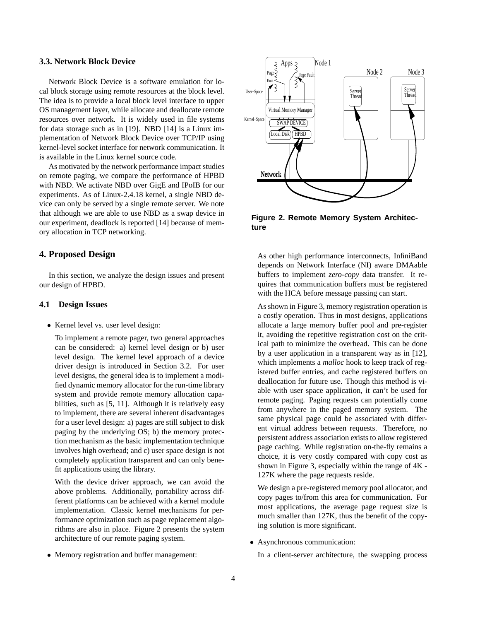## **3.3. Network Block Device**

Network Block Device is a software emulation for local block storage using remote resources at the block level. The idea is to provide a local block level interface to upper OS management layer, while allocate and deallocate remote resources over network. It is widely used in file systems for data storage such as in [19]. NBD [14] is a Linux implementation of Network Block Device over TCP/IP using kernel-level socket interface for network communication. It is available in the Linux kernel source code.

As motivated by the network performance impact studies on remote paging, we compare the performance of HPBD with NBD. We activate NBD over GigE and IPoIB for our experiments. As of Linux-2.4.18 kernel, a single NBD device can only be served by a single remote server. We note that although we are able to use NBD as a swap device in our experiment, deadlock is reported [14] because of memory allocation in TCP networking.

# **4. Proposed Design**

In this section, we analyze the design issues and present our design of HPBD.

### **4.1 Design Issues**

• Kernel level vs. user level design:

To implement a remote pager, two general approaches can be considered: a) kernel level design or b) user level design. The kernel level approach of a device driver design is introduced in Section 3.2. For user level designs, the general idea is to implement a modified dynamic memory allocator for the run-time library system and provide remote memory allocation capabilities, such as [5, 11]. Although it is relatively easy to implement, there are several inherent disadvantages for a user level design: a) pages are still subject to disk paging by the underlying OS; b) the memory protection mechanism as the basic implementation technique involves high overhead; and c) user space design is not completely application transparent and can only benefit applications using the library.

With the device driver approach, we can avoid the above problems. Additionally, portability across different platforms can be achieved with a kernel module implementation. Classic kernel mechanisms for performance optimization such as page replacement algorithms are also in place. Figure 2 presents the system architecture of our remote paging system.

• Memory registration and buffer management:



**Figure 2. Remote Memory System Architecture**

As other high performance interconnects, InfiniBand depends on Network Interface (NI) aware DMAable buffers to implement *zero-copy* data transfer. It requires that communication buffers must be registered with the HCA before message passing can start.

As shown in Figure 3, memory registration operation is a costly operation. Thus in most designs, applications allocate a large memory buffer pool and pre-register it, avoiding the repetitive registration cost on the critical path to minimize the overhead. This can be done by a user application in a transparent way as in [12], which implements a *malloc* hook to keep track of registered buffer entries, and cache registered buffers on deallocation for future use. Though this method is viable with user space application, it can't be used for remote paging. Paging requests can potentially come from anywhere in the paged memory system. The same physical page could be associated with different virtual address between requests. Therefore, no persistent address association exists to allow registered page caching. While registration on-the-fly remains a choice, it is very costly compared with copy cost as shown in Figure 3, especially within the range of 4K - 127K where the page requests reside.

We design a pre-registered memory pool allocator, and copy pages to/from this area for communication. For most applications, the average page request size is much smaller than 127K, thus the benefit of the copying solution is more significant.

• Asynchronous communication:

In a client-server architecture, the swapping process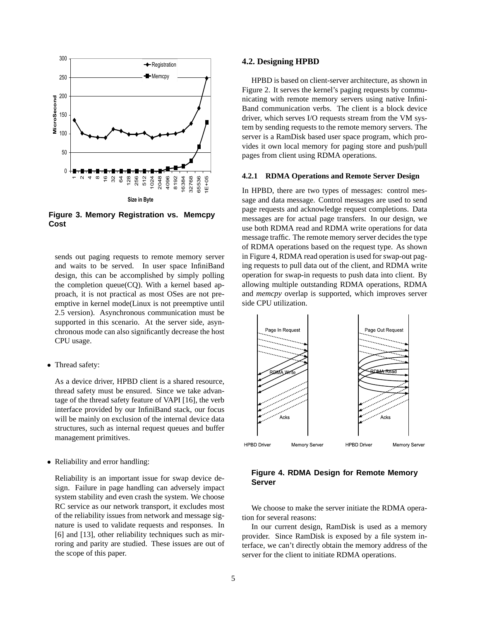

**Figure 3. Memory Registration vs. Memcpy Cost**

sends out paging requests to remote memory server and waits to be served. In user space InfiniBand design, this can be accomplished by simply polling the completion queue(CQ). With a kernel based approach, it is not practical as most OSes are not preemptive in kernel mode(Linux is not preemptive until 2.5 version). Asynchronous communication must be supported in this scenario. At the server side, asynchronous mode can also significantly decrease the host CPU usage.

# • Thread safety:

As a device driver, HPBD client is a shared resource, thread safety must be ensured. Since we take advantage of the thread safety feature of VAPI [16], the verb interface provided by our InfiniBand stack, our focus will be mainly on exclusion of the internal device data structures, such as internal request queues and buffer management primitives.

• Reliability and error handling:

Reliability is an important issue for swap device design. Failure in page handling can adversely impact system stability and even crash the system. We choose RC service as our network transport, it excludes most of the reliability issues from network and message signature is used to validate requests and responses. In [6] and [13], other reliability techniques such as mirroring and parity are studied. These issues are out of the scope of this paper.

#### **4.2. Designing HPBD**

HPBD is based on client-server architecture, as shown in Figure 2. It serves the kernel's paging requests by communicating with remote memory servers using native Infini-Band communication verbs. The client is a block device driver, which serves I/O requests stream from the VM system by sending requests to the remote memory servers. The server is a RamDisk based user space program, which provides it own local memory for paging store and push/pull pages from client using RDMA operations.

### **4.2.1 RDMA Operations and Remote Server Design**

In HPBD, there are two types of messages: control message and data message. Control messages are used to send page requests and acknowledge request completions. Data messages are for actual page transfers. In our design, we use both RDMA read and RDMA write operations for data message traffic. The remote memory server decides the type of RDMA operations based on the request type. As shown in Figure 4, RDMA read operation is used for swap-out paging requests to pull data out of the client, and RDMA write operation for swap-in requests to push data into client. By allowing multiple outstanding RDMA operations, RDMA and *memcpy* overlap is supported, which improves server side CPU utilization.



# **Figure 4. RDMA Design for Remote Memory Server**

We choose to make the server initiate the RDMA operation for several reasons:

In our current design, RamDisk is used as a memory provider. Since RamDisk is exposed by a file system interface, we can't directly obtain the memory address of the server for the client to initiate RDMA operations.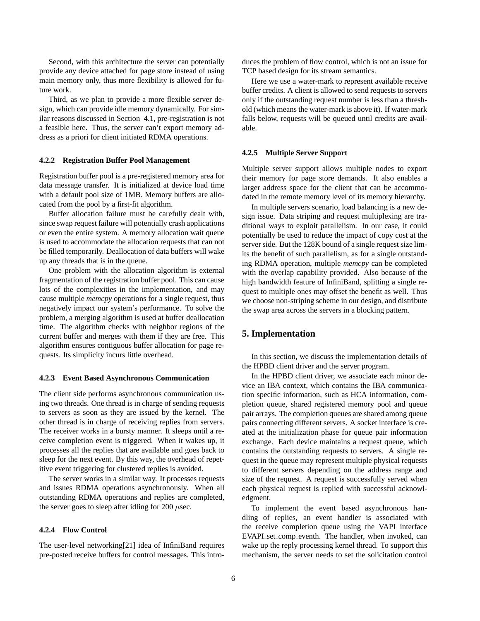Second, with this architecture the server can potentially provide any device attached for page store instead of using main memory only, thus more flexibility is allowed for future work.

Third, as we plan to provide a more flexible server design, which can provide idle memory dynamically. For similar reasons discussed in Section 4.1, pre-registration is not a feasible here. Thus, the server can't export memory address as a priori for client initiated RDMA operations.

#### **4.2.2 Registration Buffer Pool Management**

Registration buffer pool is a pre-registered memory area for data message transfer. It is initialized at device load time with a default pool size of 1MB. Memory buffers are allocated from the pool by a first-fit algorithm.

Buffer allocation failure must be carefully dealt with, since swap request failure will potentially crash applications or even the entire system. A memory allocation wait queue is used to accommodate the allocation requests that can not be filled temporarily. Deallocation of data buffers will wake up any threads that is in the queue.

One problem with the allocation algorithm is external fragmentation of the registration buffer pool. This can cause lots of the complexities in the implementation, and may cause multiple *memcpy* operations for a single request, thus negatively impact our system's performance. To solve the problem, a merging algorithm is used at buffer deallocation time. The algorithm checks with neighbor regions of the current buffer and merges with them if they are free. This algorithm ensures contiguous buffer allocation for page requests. Its simplicity incurs little overhead.

#### **4.2.3 Event Based Asynchronous Communication**

The client side performs asynchronous communication using two threads. One thread is in charge of sending requests to servers as soon as they are issued by the kernel. The other thread is in charge of receiving replies from servers. The receiver works in a bursty manner. It sleeps until a receive completion event is triggered. When it wakes up, it processes all the replies that are available and goes back to sleep for the next event. By this way, the overhead of repetitive event triggering for clustered replies is avoided.

The server works in a similar way. It processes requests and issues RDMA operations asynchronously. When all outstanding RDMA operations and replies are completed, the server goes to sleep after idling for 200  $\mu$ sec.

## **4.2.4 Flow Control**

The user-level networking[21] idea of InfiniBand requires pre-posted receive buffers for control messages. This introduces the problem of flow control, which is not an issue for TCP based design for its stream semantics.

Here we use a water-mark to represent available receive buffer credits. A client is allowed to send requests to servers only if the outstanding request number is less than a threshold (which means the water-mark is above it). If water-mark falls below, requests will be queued until credits are available.

#### **4.2.5 Multiple Server Support**

Multiple server support allows multiple nodes to export their memory for page store demands. It also enables a larger address space for the client that can be accommodated in the remote memory level of its memory hierarchy.

In multiple servers scenario, load balancing is a new design issue. Data striping and request multiplexing are traditional ways to exploit parallelism. In our case, it could potentially be used to reduce the impact of copy cost at the server side. But the 128K bound of a single request size limits the benefit of such parallelism, as for a single outstanding RDMA operation, multiple *memcpy* can be completed with the overlap capability provided. Also because of the high bandwidth feature of InfiniBand, splitting a single request to multiple ones may offset the benefit as well. Thus we choose non-striping scheme in our design, and distribute the swap area across the servers in a blocking pattern.

# **5. Implementation**

In this section, we discuss the implementation details of the HPBD client driver and the server program.

In the HPBD client driver, we associate each minor device an IBA context, which contains the IBA communication specific information, such as HCA information, completion queue, shared registered memory pool and queue pair arrays. The completion queues are shared among queue pairs connecting different servers. A socket interface is created at the initialization phase for queue pair information exchange. Each device maintains a request queue, which contains the outstanding requests to servers. A single request in the queue may represent multiple physical requests to different servers depending on the address range and size of the request. A request is successfully served when each physical request is replied with successful acknowledgment.

To implement the event based asynchronous handling of replies, an event handler is associated with the receive completion queue using the VAPI interface EVAPI set comp eventh. The handler, when invoked, can wake up the reply processing kernel thread. To support this mechanism, the server needs to set the solicitation control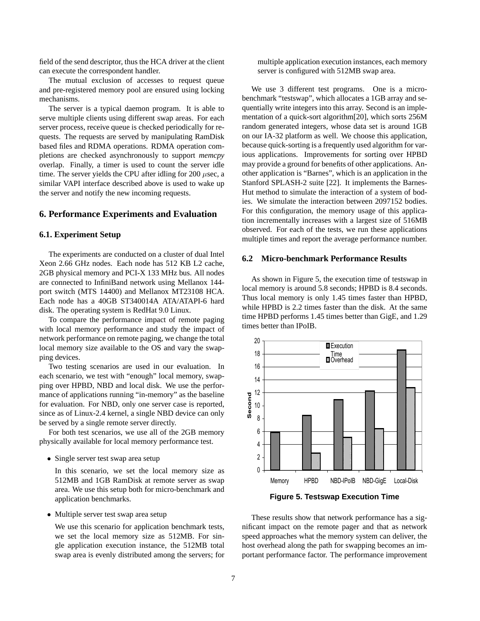field of the send descriptor, thus the HCA driver at the client can execute the correspondent handler.

The mutual exclusion of accesses to request queue and pre-registered memory pool are ensured using locking mechanisms.

The server is a typical daemon program. It is able to serve multiple clients using different swap areas. For each server process, receive queue is checked periodically for requests. The requests are served by manipulating RamDisk based files and RDMA operations. RDMA operation completions are checked asynchronously to support *memcpy* overlap. Finally, a timer is used to count the server idle time. The server yields the CPU after idling for 200  $\mu$ sec, a similar VAPI interface described above is used to wake up the server and notify the new incoming requests.

#### **6. Performance Experiments and Evaluation**

### **6.1. Experiment Setup**

The experiments are conducted on a cluster of dual Intel Xeon 2.66 GHz nodes. Each node has 512 KB L2 cache, 2GB physical memory and PCI-X 133 MHz bus. All nodes are connected to InfiniBand network using Mellanox 144 port switch (MTS 14400) and Mellanox MT23108 HCA. Each node has a 40GB ST340014A ATA/ATAPI-6 hard disk. The operating system is RedHat 9.0 Linux.

To compare the performance impact of remote paging with local memory performance and study the impact of network performance on remote paging, we change the total local memory size available to the OS and vary the swapping devices.

Two testing scenarios are used in our evaluation. In each scenario, we test with "enough" local memory, swapping over HPBD, NBD and local disk. We use the performance of applications running "in-memory" as the baseline for evaluation. For NBD, only one server case is reported, since as of Linux-2.4 kernel, a single NBD device can only be served by a single remote server directly.

For both test scenarios, we use all of the 2GB memory physically available for local memory performance test.

• Single server test swap area setup

In this scenario, we set the local memory size as 512MB and 1GB RamDisk at remote server as swap area. We use this setup both for micro-benchmark and application benchmarks.

• Multiple server test swap area setup

We use this scenario for application benchmark tests, we set the local memory size as 512MB. For single application execution instance, the 512MB total swap area is evenly distributed among the servers; for multiple application execution instances, each memory server is configured with 512MB swap area.

We use 3 different test programs. One is a microbenchmark "testswap", which allocates a 1GB array and sequentially write integers into this array. Second is an implementation of a quick-sort algorithm[20], which sorts 256M random generated integers, whose data set is around 1GB on our IA-32 platform as well. We choose this application, because quick-sorting is a frequently used algorithm for various applications. Improvements for sorting over HPBD may provide a ground for benefits of other applications. Another application is "Barnes", which is an application in the Stanford SPLASH-2 suite [22]. It implements the Barnes-Hut method to simulate the interaction of a system of bodies. We simulate the interaction between 2097152 bodies. For this configuration, the memory usage of this application incrementally increases with a largest size of 516MB observed. For each of the tests, we run these applications multiple times and report the average performance number.

## **6.2 Micro-benchmark Performance Results**

As shown in Figure 5, the execution time of testswap in local memory is around 5.8 seconds; HPBD is 8.4 seconds. Thus local memory is only 1.45 times faster than HPBD, while HPBD is 2.2 times faster than the disk. At the same time HPBD performs 1.45 times better than GigE, and 1.29 times better than IPoIB.



**Figure 5. Testswap Execution Time**

These results show that network performance has a significant impact on the remote pager and that as network speed approaches what the memory system can deliver, the host overhead along the path for swapping becomes an important performance factor. The performance improvement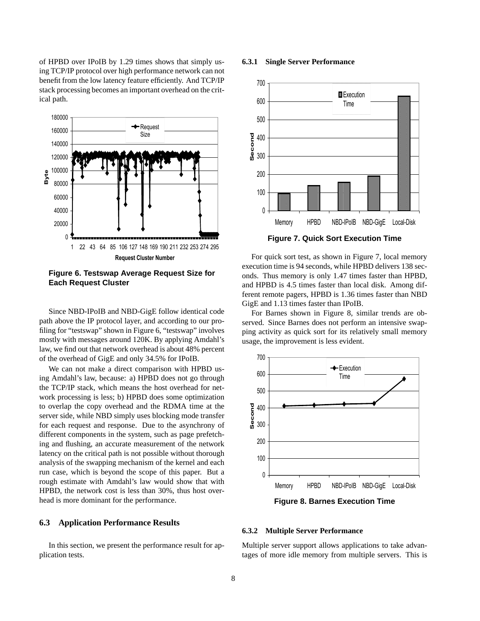of HPBD over IPoIB by 1.29 times shows that simply using TCP/IP protocol over high performance network can not benefit from the low latency feature efficiently. And TCP/IP stack processing becomes an important overhead on the critical path.



**Figure 6. Testswap Average Request Size for Each Request Cluster**

Since NBD-IPoIB and NBD-GigE follow identical code path above the IP protocol layer, and according to our profiling for "testswap" shown in Figure 6, "testswap" involves mostly with messages around 120K. By applying Amdahl's law, we find out that network overhead is about 48% percent of the overhead of GigE and only 34.5% for IPoIB.

We can not make a direct comparison with HPBD using Amdahl's law, because: a) HPBD does not go through the TCP/IP stack, which means the host overhead for network processing is less; b) HPBD does some optimization to overlap the copy overhead and the RDMA time at the server side, while NBD simply uses blocking mode transfer for each request and response. Due to the asynchrony of different components in the system, such as page prefetching and flushing, an accurate measurement of the network latency on the critical path is not possible without thorough analysis of the swapping mechanism of the kernel and each run case, which is beyond the scope of this paper. But a rough estimate with Amdahl's law would show that with HPBD, the network cost is less than 30%, thus host overhead is more dominant for the performance.

### **6.3 Application Performance Results**

In this section, we present the performance result for application tests.

#### **6.3.1 Single Server Performance**



For quick sort test, as shown in Figure 7, local memory execution time is 94 seconds, while HPBD delivers 138 seconds. Thus memory is only 1.47 times faster than HPBD, and HPBD is 4.5 times faster than local disk. Among different remote pagers, HPBD is 1.36 times faster than NBD GigE and 1.13 times faster than IPoIB.

For Barnes shown in Figure 8, similar trends are observed. Since Barnes does not perform an intensive swapping activity as quick sort for its relatively small memory usage, the improvement is less evident.



**Figure 8. Barnes Execution Time**

### **6.3.2 Multiple Server Performance**

Multiple server support allows applications to take advantages of more idle memory from multiple servers. This is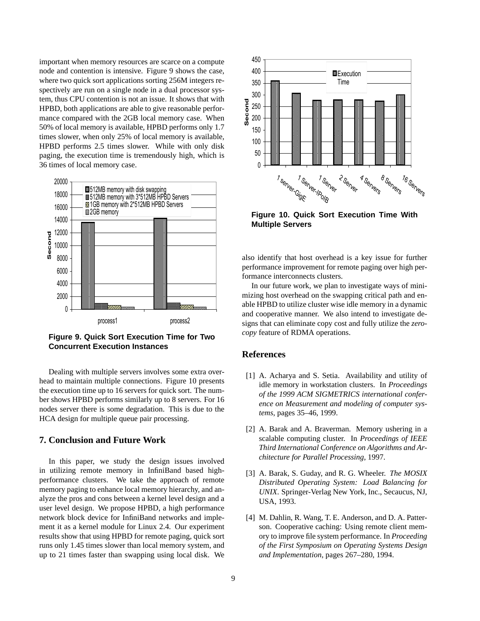important when memory resources are scarce on a compute node and contention is intensive. Figure 9 shows the case, where two quick sort applications sorting 256M integers respectively are run on a single node in a dual processor system, thus CPU contention is not an issue. It shows that with HPBD, both applications are able to give reasonable performance compared with the 2GB local memory case. When 50% of local memory is available, HPBD performs only 1.7 times slower, when only 25% of local memory is available, HPBD performs 2.5 times slower. While with only disk paging, the execution time is tremendously high, which is 36 times of local memory case.



**Figure 9. Quick Sort Execution Time for Two Concurrent Execution Instances**

Dealing with multiple servers involves some extra overhead to maintain multiple connections. Figure 10 presents the execution time up to 16 servers for quick sort. The number shows HPBD performs similarly up to 8 servers. For 16 nodes server there is some degradation. This is due to the HCA design for multiple queue pair processing.

# **7. Conclusion and Future Work**

In this paper, we study the design issues involved in utilizing remote memory in InfiniBand based highperformance clusters. We take the approach of remote memory paging to enhance local memory hierarchy, and analyze the pros and cons between a kernel level design and a user level design. We propose HPBD, a high performance network block device for InfiniBand networks and implement it as a kernel module for Linux 2.4. Our experiment results show that using HPBD for remote paging, quick sort runs only 1.45 times slower than local memory system, and up to 21 times faster than swapping using local disk. We



**Figure 10. Quick Sort Execution Time With Multiple Servers**

also identify that host overhead is a key issue for further performance improvement for remote paging over high performance interconnects clusters.

In our future work, we plan to investigate ways of minimizing host overhead on the swapping critical path and enable HPBD to utilize cluster wise idle memory in a dynamic and cooperative manner. We also intend to investigate designs that can eliminate copy cost and fully utilize the *zerocopy* feature of RDMA operations.

# **References**

- [1] A. Acharya and S. Setia. Availability and utility of idle memory in workstation clusters. In *Proceedings of the 1999 ACM SIGMETRICS international conference on Measurement and modeling of computer systems*, pages 35–46, 1999.
- [2] A. Barak and A. Braverman. Memory ushering in a scalable computing cluster. In *Proceedings of IEEE Third International Conference on Algorithms and Architecture for Parallel Processing*, 1997.
- [3] A. Barak, S. Guday, and R. G. Wheeler. *The MOSIX Distributed Operating System: Load Balancing for UNIX*. Springer-Verlag New York, Inc., Secaucus, NJ, USA, 1993.
- [4] M. Dahlin, R. Wang, T. E. Anderson, and D. A. Patterson. Cooperative caching: Using remote client memory to improve file system performance. In *Proceeding of the First Symposium on Operating Systems Design and Implementation*, pages 267–280, 1994.